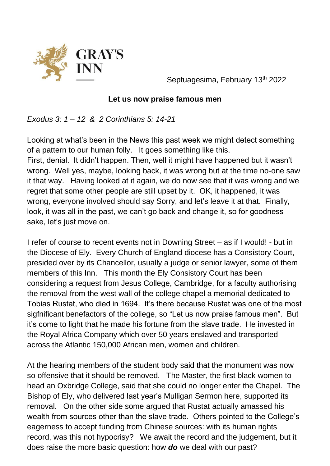

Septuagesima, February 13<sup>th</sup> 2022

## **Let us now praise famous men**

*Exodus 3: 1 – 12 & 2 Corinthians 5: 14-21* 

Looking at what's been in the News this past week we might detect something of a pattern to our human folly. It goes something like this.

First, denial. It didn't happen. Then, well it might have happened but it wasn't wrong. Well yes, maybe, looking back, it was wrong but at the time no-one saw it that way. Having looked at it again, we do now see that it was wrong and we regret that some other people are still upset by it. OK, it happened, it was wrong, everyone involved should say Sorry, and let's leave it at that. Finally, look, it was all in the past, we can't go back and change it, so for goodness sake, let's just move on.

I refer of course to recent events not in Downing Street – as if I would! - but in the Diocese of Ely. Every Church of England diocese has a Consistory Court, presided over by its Chancellor, usually a judge or senior lawyer, some of them members of this Inn. This month the Ely Consistory Court has been considering a request from Jesus College, Cambridge, for a faculty authorising the removal from the west wall of the college chapel a memorial dedicated to Tobias Rustat, who died in 1694. It's there because Rustat was one of the most sigfnificant benefactors of the college, so "Let us now praise famous men". But it's come to light that he made his fortune from the slave trade. He invested in the Royal Africa Company which over 50 years enslaved and transported across the Atlantic 150,000 African men, women and children.

At the hearing members of the student body said that the monument was now so offensive that it should be removed. The Master, the first black women to head an Oxbridge College, said that she could no longer enter the Chapel. The Bishop of Ely, who delivered last year's Mulligan Sermon here, supported its removal. On the other side some argued that Rustat actually amassed his wealth from sources other than the slave trade. Others pointed to the College's eagerness to accept funding from Chinese sources: with its human rights record, was this not hypocrisy? We await the record and the judgement, but it does raise the more basic question: how *do* we deal with our past?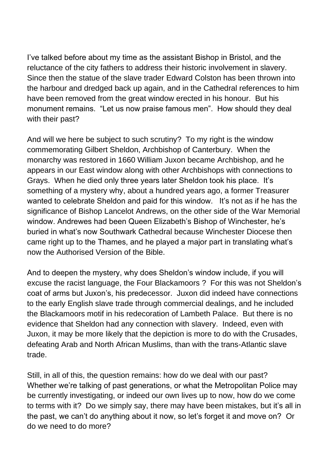I've talked before about my time as the assistant Bishop in Bristol, and the reluctance of the city fathers to address their historic involvement in slavery. Since then the statue of the slave trader Edward Colston has been thrown into the harbour and dredged back up again, and in the Cathedral references to him have been removed from the great window erected in his honour. But his monument remains. "Let us now praise famous men". How should they deal with their past?

And will we here be subject to such scrutiny? To my right is the window commemorating Gilbert Sheldon, Archbishop of Canterbury. When the monarchy was restored in 1660 William Juxon became Archbishop, and he appears in our East window along with other Archbishops with connections to Grays. When he died only three years later Sheldon took his place. It's something of a mystery why, about a hundred years ago, a former Treasurer wanted to celebrate Sheldon and paid for this window. It's not as if he has the significance of Bishop Lancelot Andrews, on the other side of the War Memorial window. Andrewes had been Queen Elizabeth's Bishop of Winchester, he's buried in what's now Southwark Cathedral because Winchester Diocese then came right up to the Thames, and he played a major part in translating what's now the Authorised Version of the Bible.

And to deepen the mystery, why does Sheldon's window include, if you will excuse the racist language, the Four Blackamoors ? For this was not Sheldon's coat of arms but Juxon's, his predecessor. Juxon did indeed have connections to the early English slave trade through commercial dealings, and he included the Blackamoors motif in his redecoration of Lambeth Palace. But there is no evidence that Sheldon had any connection with slavery. Indeed, even with Juxon, it may be more likely that the depiction is more to do with the Crusades, defeating Arab and North African Muslims, than with the trans-Atlantic slave trade.

Still, in all of this, the question remains: how do we deal with our past? Whether we're talking of past generations, or what the Metropolitan Police may be currently investigating, or indeed our own lives up to now, how do we come to terms with it? Do we simply say, there may have been mistakes, but it's all in the past, we can't do anything about it now, so let's forget it and move on? Or do we need to do more?